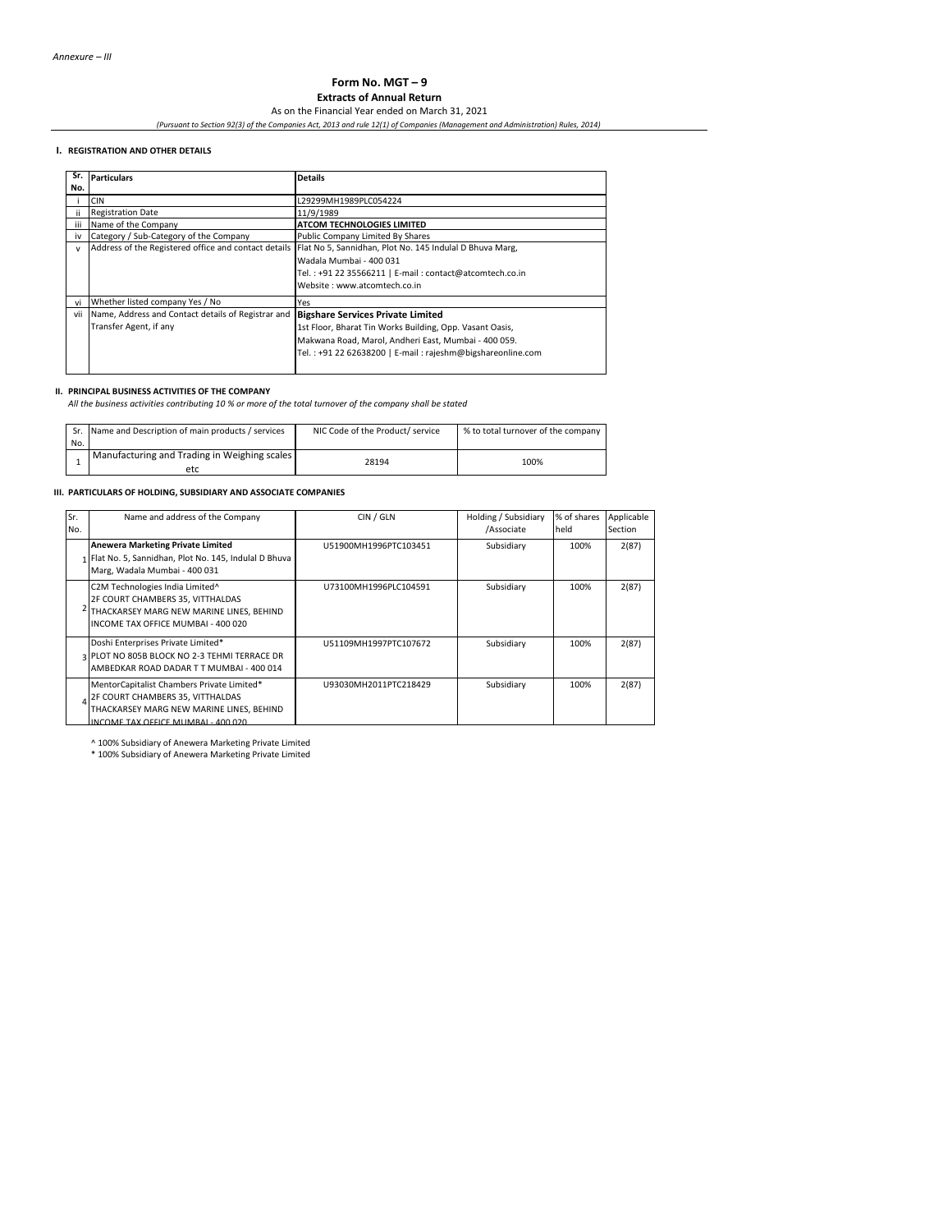# **Form No. MGT – 9 Extracts of Annual Return**

As on the Financial Year ended on March 31, 2021

*(Pursuant to Section 92(3) of the Companies Act, 2013 and rule 12(1) of Companies (Management and Administration) Rules, 2014)*

### **I. REGISTRATION AND OTHER DETAILS**

| Sr. | <b>Particulars</b>                                   | <b>Details</b>                                             |
|-----|------------------------------------------------------|------------------------------------------------------------|
| No. |                                                      |                                                            |
|     | <b>CIN</b>                                           | L29299MH1989PLC054224                                      |
| ii. | <b>Registration Date</b>                             | 11/9/1989                                                  |
| iii | Name of the Company                                  | ATCOM TECHNOLOGIES LIMITED                                 |
| iv  | Category / Sub-Category of the Company               | Public Company Limited By Shares                           |
| v   | Address of the Registered office and contact details | Flat No 5, Sannidhan, Plot No. 145 Indulal D Bhuva Marg,   |
|     |                                                      | Wadala Mumbai - 400 031                                    |
|     |                                                      | Tel.: +91 22 35566211   E-mail: contact@atcomtech.co.in    |
|     |                                                      | Website: www.atcomtech.co.in                               |
| vi  | Whether listed company Yes / No                      | Yes                                                        |
| vii | Name, Address and Contact details of Registrar and   | <b>Bigshare Services Private Limited</b>                   |
|     | Transfer Agent, if any                               | 1st Floor, Bharat Tin Works Building, Opp. Vasant Oasis,   |
|     |                                                      | Makwana Road, Marol, Andheri East, Mumbai - 400 059.       |
|     |                                                      | Tel.: +91 22 62638200   E-mail: rajeshm@bigshareonline.com |
|     |                                                      |                                                            |
|     |                                                      |                                                            |

# **II. PRINCIPAL BUSINESS ACTIVITIES OF THE COMPANY**

*All the business activities contributing 10 % or more of the total turnover of the company shall be stated*

|     | Sr. Name and Description of main products / services | NIC Code of the Product/ service | % to total turnover of the company |
|-----|------------------------------------------------------|----------------------------------|------------------------------------|
| No. |                                                      |                                  |                                    |
|     | Manufacturing and Trading in Weighing scales         | 28194                            | 100%                               |
|     | etc                                                  |                                  |                                    |

#### **III. PARTICULARS OF HOLDING, SUBSIDIARY AND ASSOCIATE COMPANIES**

| Sr.<br>No. | Name and address of the Company                                                                                                                                | CIN / GLN             | Holding / Subsidiary<br>/Associate | % of shares<br>held | Applicable<br>Section |
|------------|----------------------------------------------------------------------------------------------------------------------------------------------------------------|-----------------------|------------------------------------|---------------------|-----------------------|
|            | <b>Anewera Marketing Private Limited</b><br>1 Flat No. 5, Sannidhan, Plot No. 145, Indulal D Bhuva<br>Marg, Wadala Mumbai - 400 031                            | U51900MH1996PTC103451 | Subsidiary                         | 100%                | 2(87)                 |
|            | C2M Technologies India Limited^<br>2F COURT CHAMBERS 35, VITTHALDAS<br>THACKARSEY MARG NEW MARINE LINES, BEHIND<br>INCOME TAX OFFICE MUMBAI - 400 020          | U73100MH1996PLC104591 | Subsidiary                         | 100%                | 2(87)                 |
|            | Doshi Enterprises Private Limited*<br>3 PLOT NO 805B BLOCK NO 2-3 TEHMI TERRACE DR<br>AMBEDKAR ROAD DADAR TT MUMBAI - 400 014                                  | U51109MH1997PTC107672 | Subsidiary                         | 100%                | 2(87)                 |
|            | MentorCapitalist Chambers Private Limited*<br>2F COURT CHAMBERS 35, VITTHALDAS<br>THACKARSEY MARG NEW MARINE LINES, BEHIND<br>INCOME TAV OFFICE MUMBAL 400.020 | U93030MH2011PTC218429 | Subsidiary                         | 100%                | 2(87)                 |

INCOME TAX OFFICE MUMBAI - 400 020

^ 100% Subsidiary of Anewera Marketing Private Limited \* 100% Subsidiary of Anewera Marketing Private Limited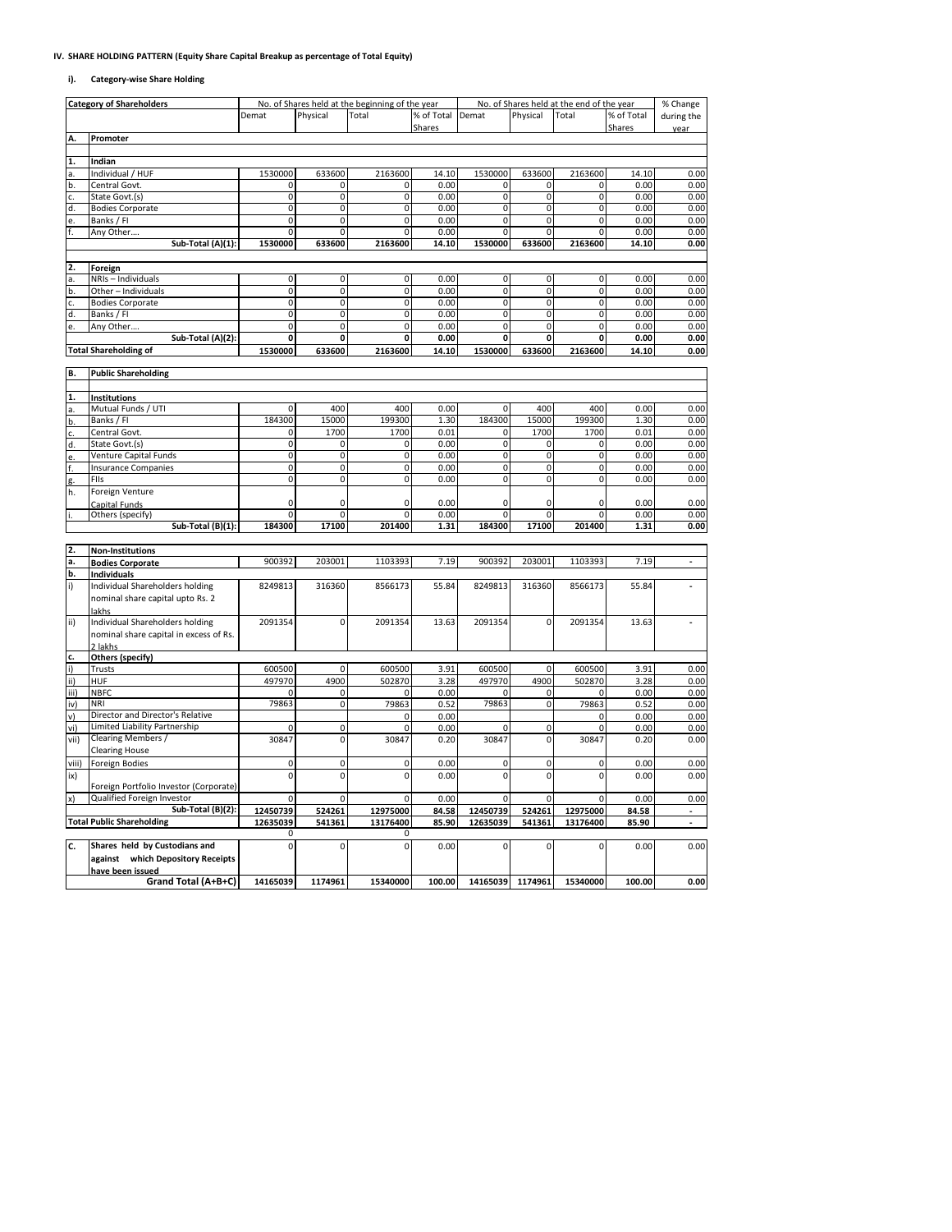### **IV. SHARE HOLDING PATTERN (Equity Share Capital Breakup as percentage of Total Equity)**

#### **i). Category-wise Share Holding**

|       | <b>Category of Shareholders</b>        |                |                | No. of Shares held at the beginning of the year | % of Total Demat |                |                  | No. of Shares held at the end of the year | % of Total | % Change   |
|-------|----------------------------------------|----------------|----------------|-------------------------------------------------|------------------|----------------|------------------|-------------------------------------------|------------|------------|
|       |                                        | Demat          | Physical       | Total                                           | Shares           |                | Physical         | Total                                     | Shares     | during the |
| Α.    | Promoter                               |                |                |                                                 |                  |                |                  |                                           |            | vear       |
|       |                                        |                |                |                                                 |                  |                |                  |                                           |            |            |
| 1.    | Indian                                 |                |                |                                                 |                  |                |                  |                                           |            |            |
| a.    | Individual / HUF                       | 1530000        | 633600         | 2163600                                         | 14.10            | 1530000        | 633600           | 2163600                                   | 14.10      | 0.00       |
| b.    | Central Govt.                          | 0              | 0              | 0                                               | 0.00             | 0              | 0                | 0                                         | 0.00       | 0.00       |
| c.    | State Govt.(s)                         | 0              | 0              | 0                                               | 0.00             | 0              | 0                | 0                                         | 0.00       | 0.00       |
| d.    | <b>Bodies Corporate</b>                | $\overline{0}$ | 0              | $\overline{0}$                                  | 0.00             | $\mathbf 0$    | 0                | $\pmb{0}$                                 | 0.00       | 0.00       |
| e.    | Banks / FI                             | 0              | 0              | $\mathbf 0$                                     | 0.00             | $\mathbf 0$    | 0                | 0                                         | 0.00       | 0.00       |
| f.    | Any Other                              | $\overline{0}$ | $\overline{0}$ | $\overline{0}$                                  | 0.00             | $\overline{0}$ | $\overline{0}$   | $\overline{0}$                            | 0.00       | 0.00       |
|       | Sub-Total (A)(1):                      | 1530000        | 633600         | 2163600                                         | 14.10            | 1530000        | 633600           | 2163600                                   | 14.10      | 0.00       |
|       |                                        |                |                |                                                 |                  |                |                  |                                           |            |            |
| 2.    | Foreign                                |                |                |                                                 |                  |                |                  |                                           |            |            |
| a.    | NRIs - Individuals                     | 0              | 0              | $\mathbf 0$                                     | 0.00             | $\mathbf 0$    | $\mathbf 0$      | 0                                         | 0.00       | 0.00       |
| b.    | Other - Individuals                    | 0              | 0              | 0                                               | 0.00             | 0              | 0                | 0                                         | 0.00       | 0.00       |
| c.    | <b>Bodies Corporate</b>                | 0              | 0              | $\pmb{0}$                                       | 0.00             | 0              | 0                | 0                                         | 0.00       | 0.00       |
| d.    | Banks / FI                             | 0              | 0              | 0                                               | 0.00             | $\mathbf 0$    | 0                | 0                                         | 0.00       | 0.00       |
| e.    | Any Other                              | 0              | 0              | 0                                               | 0.00             | 0              | $\mathbf 0$      | $\pmb{0}$                                 | 0.00       | 0.00       |
|       | Sub-Total (A)(2):                      | 0              | 0              | 0                                               | 0.00             | 0              | Ō                | $\mathbf 0$                               | 0.00       | 0.00       |
|       |                                        | 1530000        | 633600         | 2163600                                         |                  | 1530000        |                  | 2163600                                   |            |            |
|       | <b>Total Shareholding of</b>           |                |                |                                                 | 14.10            |                | 633600           |                                           | 14.10      | 0.00       |
| B.    | <b>Public Shareholding</b>             |                |                |                                                 |                  |                |                  |                                           |            |            |
|       |                                        |                |                |                                                 |                  |                |                  |                                           |            |            |
| 1.    |                                        |                |                |                                                 |                  |                |                  |                                           |            |            |
|       | Institutions<br>Mutual Funds / UTI     | 0              | 400            | 400                                             | 0.00             | 0              | 400              | 400                                       | 0.00       | 0.00       |
|       |                                        | 184300         | 15000          | 199300                                          | 1.30             | 184300         | 15000            | 199300                                    | 1.30       | 0.00       |
| b.    | Banks / FI                             |                |                |                                                 |                  |                |                  |                                           |            |            |
| c.    | Central Govt.                          | 0              | 1700           | 1700                                            | 0.01             | $\mathbf 0$    | 1700             | 1700                                      | 0.01       | 0.00       |
| d.    | State Govt.(s)                         | 0              | 0              | $\mathbf 0$                                     | 0.00             | 0              | 0                | 0                                         | 0.00       | 0.00       |
|       | Venture Capital Funds                  | $\overline{0}$ | 0              | $\overline{0}$                                  | 0.00             | $\overline{0}$ | 0                | $\pmb{0}$                                 | 0.00       | 0.00       |
| f.    | <b>Insurance Companies</b>             | 0              | 0              | 0                                               | 0.00             | $\mathbf 0$    | 0                | 0                                         | 0.00       | 0.00       |
| g.    | FIIs                                   | 0              | 0              | 0                                               | 0.00             | 0              | 0                | $\pmb{0}$                                 | 0.00       | 0.00       |
| h.    | Foreign Venture                        |                |                |                                                 |                  |                |                  |                                           |            |            |
|       | Capital Funds                          | 0              | 0              | 0                                               | 0.00             | $\mathbf 0$    | 0                | 0                                         | 0.00       | 0.00       |
|       | Others (specify)                       | 0              | 0              | $\Omega$                                        | 0.00             | $\Omega$       | 0                | 0                                         | 0.00       | 0.00       |
|       | $Sub-Total (B)(1):$                    | 184300         | 17100          | 201400                                          | 1.31             | 184300         | 17100            | 201400                                    | 1.31       | 0.00       |
|       |                                        |                |                |                                                 |                  |                |                  |                                           |            |            |
| 2.    | <b>Non-Institutions</b>                |                |                |                                                 |                  |                |                  |                                           |            |            |
| a.    | <b>Bodies Corporate</b>                | 900392         | 203001         | 1103393                                         | 7.19             | 900392         | 203001           | 1103393                                   | 7.19       |            |
| b.    | <b>Individuals</b>                     |                |                |                                                 |                  |                |                  |                                           |            |            |
| i)    | Individual Shareholders holding        | 8249813        | 316360         | 8566173                                         | 55.84            | 8249813        | 316360           | 8566173                                   | 55.84      |            |
|       | nominal share capital upto Rs. 2       |                |                |                                                 |                  |                |                  |                                           |            |            |
|       |                                        |                |                |                                                 |                  |                |                  |                                           |            |            |
| ii)   | Individual Shareholders holding        | 2091354        | 0              | 2091354                                         | 13.63            | 2091354        | $\pmb{0}$        | 2091354                                   | 13.63      |            |
|       | nominal share capital in excess of Rs. |                |                |                                                 |                  |                |                  |                                           |            |            |
|       | 2 lakhs                                |                |                |                                                 |                  |                |                  |                                           |            |            |
| c.    |                                        |                |                |                                                 |                  |                |                  |                                           |            |            |
| i)    | Others (specify)<br>Trusts             | 600500         | 0              | 600500                                          | 3.91             | 600500         | 0                | 600500                                    | 3.91       | 0.00       |
| ii)   | HUF                                    | 497970         | 4900           | 502870                                          | 3.28             | 497970         | 4900             | 502870                                    | 3.28       | 0.00       |
|       |                                        | $\Omega$       |                | $\Omega$                                        |                  | $\Omega$       |                  | $\Omega$                                  |            |            |
| iii)  | <b>NBFC</b>                            |                | 0              |                                                 | 0.00             |                | 0                |                                           | 0.00       | 0.00       |
| iv)   | <b>NRI</b>                             | 79863          | $\pmb{0}$      | 79863                                           | 0.52             | 79863          | $\mathbf 0$      | 79863                                     | 0.52       | 0.00       |
| v)    | Director and Director's Relative       |                |                | $\mathbf 0$                                     | 0.00             |                |                  | $\Omega$                                  | 0.00       | 0.00       |
| vi)   | Limited Liability Partnership          |                | $\pmb{0}$      | $\Omega$                                        | 0.00             | $\Omega$       | $\pmb{0}$        | $\Omega$                                  | 0.00       | 0.00       |
| vii)  | Clearing Members /                     | 30847          | 0              | 30847                                           | 0.20             | 30847          | 0                | 30847                                     | 0.20       | 0.00       |
|       | <b>Clearing House</b>                  |                |                |                                                 |                  |                |                  |                                           |            |            |
| viii) | <b>Foreign Bodies</b>                  | $\mathbf 0$    | $\mathbf 0$    | $\mathbf 0$                                     | 0.00             | $\mathbf 0$    | 0                | $\mathbf 0$                               | 0.00       | 0.00       |
| ix)   |                                        | $\mathbf 0$    | 0              | $\Omega$                                        | 0.00             | $\mathbf 0$    | 0                | 0                                         | 0.00       | 0.00       |
|       | Foreign Portfolio Investor (Corporate) |                |                |                                                 |                  |                |                  |                                           |            |            |
| x)    | Qualified Foreign Investor             | 0              | 0              | $\mathbf 0$                                     | 0.00             | $\mathbf 0$    | 0                | 0                                         | 0.00       | 0.00       |
|       | Sub-Total (B)(2):                      | 12450739       | 524261         | 12975000                                        | 84.58            | 12450739       | 524261           | 12975000                                  | 84.58      | ÷.         |
|       | <b>Total Public Shareholding</b>       | 12635039       | 541361         | 13176400                                        | 85.90            | 12635039       | 541361           | 13176400                                  | 85.90      |            |
|       |                                        | 0              |                | 0                                               |                  |                |                  |                                           |            |            |
| c.    | Shares held by Custodians and          | $\Omega$       | 0              | $\Omega$                                        | 0.00             | $\Omega$       | 0                | 0                                         | 0.00       | 0.00       |
|       | against which Depository Receipts      |                |                |                                                 |                  |                |                  |                                           |            |            |
|       | have been issued                       |                |                |                                                 |                  |                |                  |                                           |            |            |
|       | Grand Total (A+B+C)                    | 14165039       | 1174961        | 15340000                                        | 100.00           |                | 14165039 1174961 | 15340000                                  | 100.00     | 0.00       |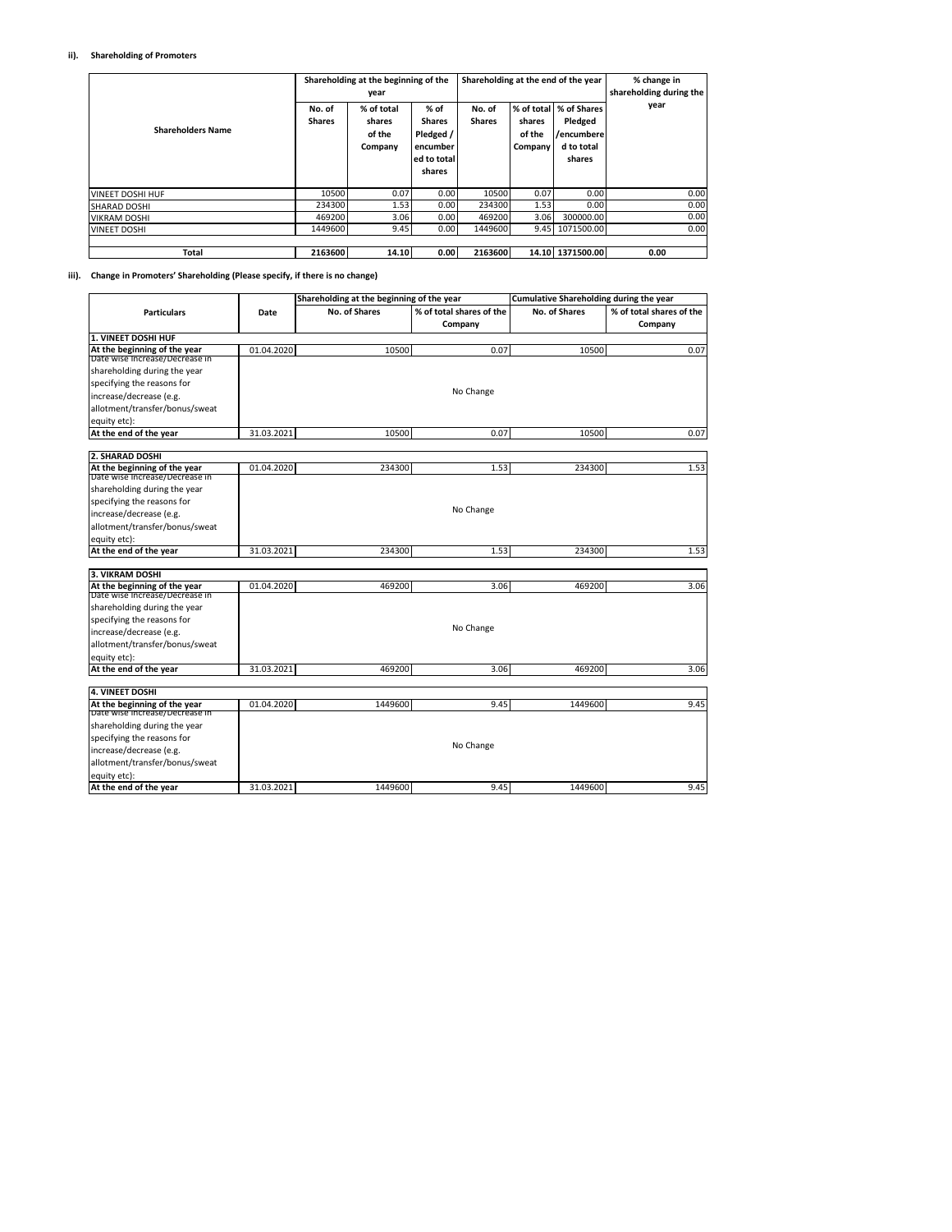### **ii). Shareholding of Promoters**

| <b>Shareholders Name</b> | No. of<br><b>Shares</b> | Shareholding at the beginning of the<br>year<br>% of total<br>shares<br>of the<br>Company | % of<br><b>Shares</b><br>Pledged /<br>encumber<br>ed to total<br>shares | No. of<br><b>Shares</b> | shares<br>of the<br>Company | Shareholding at the end of the year<br>% of total   % of Shares<br>Pledged<br>/encumbere<br>d to total<br>shares | % change in<br>shareholding during the<br>year |
|--------------------------|-------------------------|-------------------------------------------------------------------------------------------|-------------------------------------------------------------------------|-------------------------|-----------------------------|------------------------------------------------------------------------------------------------------------------|------------------------------------------------|
| <b>VINEET DOSHI HUF</b>  | 10500                   | 0.07                                                                                      | 0.00                                                                    | 10500                   | 0.07                        | 0.00                                                                                                             | 0.00                                           |
| <b>SHARAD DOSHI</b>      | 234300                  | 1.53                                                                                      | 0.00                                                                    | 234300                  | 1.53                        | 0.00                                                                                                             | 0.00                                           |
| <b>VIKRAM DOSHI</b>      | 469200                  | 3.06                                                                                      | 0.00                                                                    | 469200                  | 3.06                        | 300000.00                                                                                                        | 0.00                                           |
| <b>VINEET DOSHI</b>      | 1449600                 | 9.45                                                                                      | 0.00                                                                    | 1449600                 |                             | 9.45 1071500.00                                                                                                  | 0.00                                           |
| Total                    | 2163600                 | 14.10                                                                                     | 0.00                                                                    | 2163600                 |                             | 14.10 1371500.00                                                                                                 | 0.00                                           |

#### **iii). Change in Promoters' Shareholding (Please specify, if there is no change)**

|                                                                |            | Shareholding at the beginning of the year |                          | Cumulative Shareholding during the year |                          |
|----------------------------------------------------------------|------------|-------------------------------------------|--------------------------|-----------------------------------------|--------------------------|
| <b>Particulars</b>                                             | Date       | No. of Shares                             | % of total shares of the | No. of Shares                           | % of total shares of the |
|                                                                |            |                                           | Company                  |                                         | Company                  |
| 1. VINEET DOSHI HUF                                            |            |                                           |                          |                                         |                          |
| At the beginning of the year                                   | 01.04.2020 | 10500                                     | 0.07                     | 10500                                   | 0.07                     |
| Date wise increase/Decrease in                                 |            |                                           |                          |                                         |                          |
| shareholding during the year                                   |            |                                           |                          |                                         |                          |
| specifying the reasons for                                     |            |                                           | No Change                |                                         |                          |
| increase/decrease (e.g.                                        |            |                                           |                          |                                         |                          |
| allotment/transfer/bonus/sweat                                 |            |                                           |                          |                                         |                          |
| equity etc):                                                   |            |                                           |                          |                                         |                          |
| At the end of the year                                         | 31.03.2021 | 10500                                     | 0.07                     | 10500                                   | 0.07                     |
| 2. SHARAD DOSHI                                                |            |                                           |                          |                                         |                          |
| At the beginning of the year                                   | 01.04.2020 | 234300                                    | 1.53                     | 234300                                  | 1.53                     |
| Date wise Increase/Decrease in                                 |            |                                           |                          |                                         |                          |
| shareholding during the year                                   |            |                                           |                          |                                         |                          |
| specifying the reasons for                                     |            |                                           |                          |                                         |                          |
| increase/decrease (e.g.                                        |            |                                           | No Change                |                                         |                          |
| allotment/transfer/bonus/sweat                                 |            |                                           |                          |                                         |                          |
| equity etc):                                                   |            |                                           |                          |                                         |                          |
| At the end of the year                                         | 31.03.2021 | 234300                                    | 1.53                     | 234300                                  | 1.53                     |
|                                                                |            |                                           |                          |                                         |                          |
| 3. VIKRAM DOSHI                                                |            |                                           |                          |                                         |                          |
| At the beginning of the year<br>Date wise increase/Decrease in | 01.04.2020 | 469200                                    | 3.06                     | 469200                                  | 3.06                     |
|                                                                |            |                                           |                          |                                         |                          |
| shareholding during the year<br>specifying the reasons for     |            |                                           |                          |                                         |                          |
| increase/decrease (e.g.                                        |            |                                           | No Change                |                                         |                          |
|                                                                |            |                                           |                          |                                         |                          |
| allotment/transfer/bonus/sweat                                 |            |                                           |                          |                                         |                          |
| equity etc):<br>At the end of the year                         | 31.03.2021 | 469200                                    | 3.06                     | 469200                                  |                          |
|                                                                |            |                                           |                          |                                         | 3.06                     |
| <b>4. VINEET DOSHI</b>                                         |            |                                           |                          |                                         |                          |
| At the beginning of the year                                   | 01.04.2020 | 1449600                                   | 9.45                     | 1449600                                 | 9.45                     |
| Date wise increase/Decrease in                                 |            |                                           |                          |                                         |                          |
| shareholding during the year                                   |            |                                           |                          |                                         |                          |
| specifying the reasons for                                     |            |                                           |                          |                                         |                          |
| increase/decrease (e.g.                                        |            |                                           | No Change                |                                         |                          |
| allotment/transfer/bonus/sweat                                 |            |                                           |                          |                                         |                          |
| equity etc):                                                   |            |                                           |                          |                                         |                          |
| At the end of the year                                         | 31.03.2021 | 1449600                                   | 9.45                     | 1449600                                 | 9.45                     |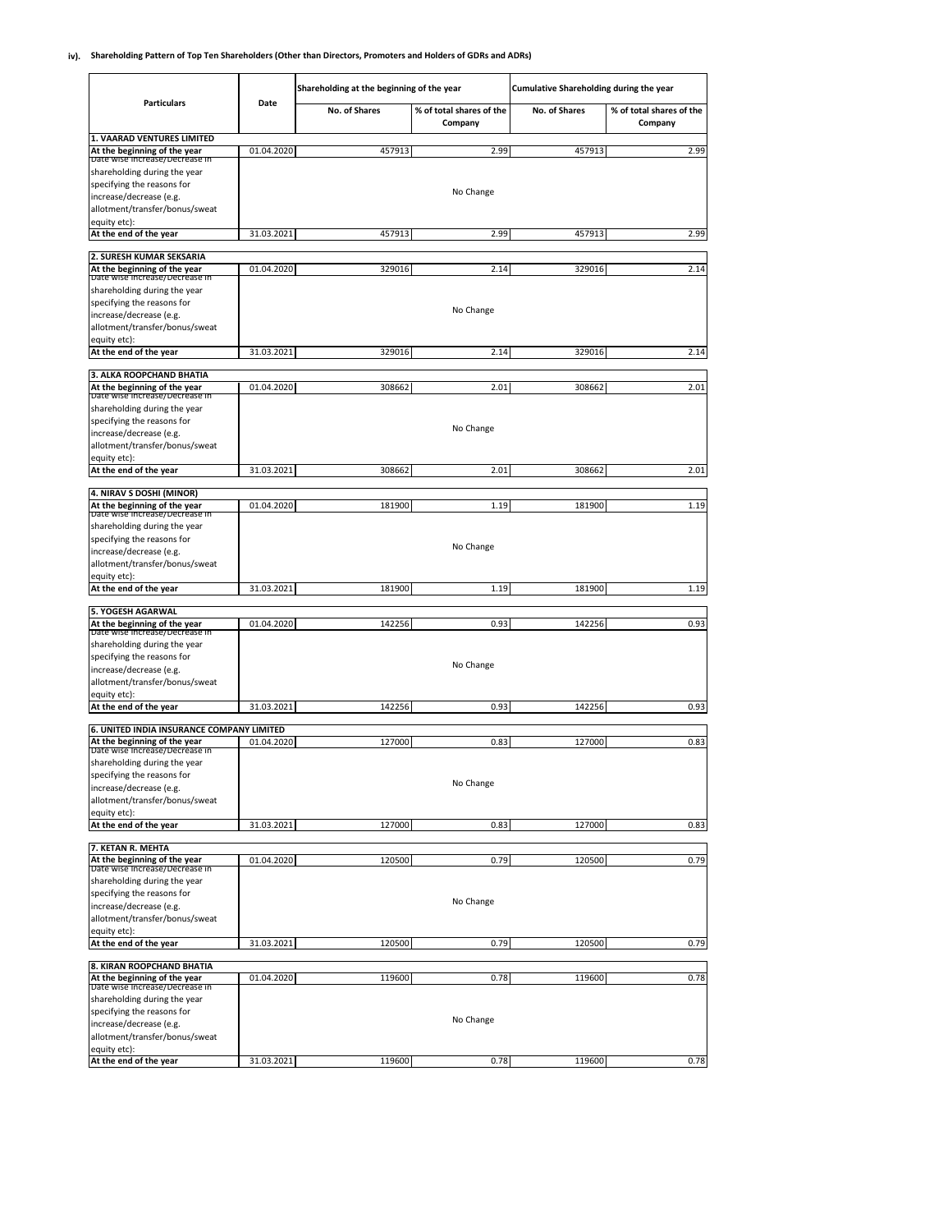### **iv). Shareholding Pattern of Top Ten Shareholders (Other than Directors, Promoters and Holders of GDRs and ADRs)**

|                                                                |            | Shareholding at the beginning of the year |                                     | Cumulative Shareholding during the year |                                     |
|----------------------------------------------------------------|------------|-------------------------------------------|-------------------------------------|-----------------------------------------|-------------------------------------|
| <b>Particulars</b>                                             | Date       | No. of Shares                             | % of total shares of the<br>Company | No. of Shares                           | % of total shares of the<br>Company |
| 1. VAARAD VENTURES LIMITED                                     | 01.04.2020 | 457913                                    | 2.99                                | 457913                                  | 2.99                                |
| At the beginning of the year<br>Date wise increase/Decrease in |            |                                           |                                     |                                         |                                     |
| shareholding during the year                                   |            |                                           |                                     |                                         |                                     |
| specifying the reasons for                                     |            |                                           | No Change                           |                                         |                                     |
| increase/decrease (e.g.<br>allotment/transfer/bonus/sweat      |            |                                           |                                     |                                         |                                     |
| equity etc):                                                   |            |                                           |                                     |                                         |                                     |
| At the end of the year                                         | 31.03.2021 | 457913                                    | 2.99                                | 457913                                  | 2.99                                |
| 2. SURESH KUMAR SEKSARIA                                       |            |                                           |                                     |                                         |                                     |
| At the beginning of the year                                   | 01.04.2020 | 329016                                    | 2.14                                | 329016                                  | 2.14                                |
| Date wise increase/Decrease in                                 |            |                                           |                                     |                                         |                                     |
| shareholding during the year<br>specifying the reasons for     |            |                                           |                                     |                                         |                                     |
| increase/decrease (e.g.                                        |            |                                           | No Change                           |                                         |                                     |
| allotment/transfer/bonus/sweat                                 |            |                                           |                                     |                                         |                                     |
| equity etc):                                                   |            |                                           |                                     |                                         |                                     |
| At the end of the year                                         | 31.03.2021 | 329016                                    | 2.14                                | 329016                                  | 2.14                                |
| 3. ALKA ROOPCHAND BHATIA                                       |            |                                           |                                     |                                         |                                     |
| At the beginning of the year                                   | 01.04.2020 | 308662                                    | 2.01                                | 308662                                  | 2.01                                |
| Date wise increase/Decrease in<br>shareholding during the year |            |                                           |                                     |                                         |                                     |
| specifying the reasons for                                     |            |                                           |                                     |                                         |                                     |
| increase/decrease (e.g.                                        |            |                                           | No Change                           |                                         |                                     |
| allotment/transfer/bonus/sweat                                 |            |                                           |                                     |                                         |                                     |
| equity etc):<br>At the end of the year                         | 31.03.2021 | 308662                                    | 2.01                                | 308662                                  | 2.01                                |
|                                                                |            |                                           |                                     |                                         |                                     |
| 4. NIRAV S DOSHI (MINOR)                                       |            |                                           |                                     |                                         |                                     |
| At the beginning of the year<br>Date wise Increase/Decrease in | 01.04.2020 | 181900                                    | 1.19                                | 181900                                  | 1.19                                |
| shareholding during the year                                   |            |                                           |                                     |                                         |                                     |
| specifying the reasons for                                     |            |                                           | No Change                           |                                         |                                     |
| increase/decrease (e.g.<br>allotment/transfer/bonus/sweat      |            |                                           |                                     |                                         |                                     |
| equity etc):                                                   |            |                                           |                                     |                                         |                                     |
| At the end of the year                                         | 31.03.2021 | 181900                                    | 1.19                                | 181900                                  | 1.19                                |
|                                                                |            |                                           |                                     |                                         |                                     |
| 5. YOGESH AGARWAL<br>At the beginning of the year              | 01.04.2020 | 142256                                    | 0.93                                | 142256                                  | 0.93                                |
| Date wise increase/Decrease in                                 |            |                                           |                                     |                                         |                                     |
| shareholding during the year<br>specifying the reasons for     |            |                                           |                                     |                                         |                                     |
| increase/decrease (e.g.                                        |            |                                           | No Change                           |                                         |                                     |
| allotment/transfer/bonus/sweat                                 |            |                                           |                                     |                                         |                                     |
| equity etc):                                                   |            |                                           |                                     |                                         |                                     |
| At the end of the year                                         | 31.03.2021 | 142256                                    | 0.93                                | 142256                                  | 0.93                                |
| 6. UNITED INDIA INSURANCE COMPANY LIMITED                      |            |                                           |                                     |                                         |                                     |
| At the beginning of the year<br>Date wise increase/Decrease in | 01.04.2020 | 127000                                    | 0.83                                | 127000                                  | 0.83                                |
| shareholding during the year                                   |            |                                           |                                     |                                         |                                     |
| specifying the reasons for                                     |            |                                           |                                     |                                         |                                     |
| increase/decrease (e.g.                                        |            |                                           | No Change                           |                                         |                                     |
| allotment/transfer/bonus/sweat<br>equity etc):                 |            |                                           |                                     |                                         |                                     |
| At the end of the year                                         | 31.03.2021 | 127000                                    | 0.83                                | 127000                                  | 0.83                                |
|                                                                |            |                                           |                                     |                                         |                                     |
| 7. KETAN R. MEHTA<br>At the beginning of the year              | 01.04.2020 | 120500                                    | 0.79                                | 120500                                  | 0.79                                |
| Date wise increase/Decrease in                                 |            |                                           |                                     |                                         |                                     |
| shareholding during the year                                   |            |                                           |                                     |                                         |                                     |
| specifying the reasons for                                     |            |                                           | No Change                           |                                         |                                     |
| increase/decrease (e.g.<br>allotment/transfer/bonus/sweat      |            |                                           |                                     |                                         |                                     |
| equity etc):                                                   |            |                                           |                                     |                                         |                                     |
| At the end of the year                                         | 31.03.2021 | 120500                                    | 0.79                                | 120500                                  | 0.79                                |
| 8. KIRAN ROOPCHAND BHATIA                                      |            |                                           |                                     |                                         |                                     |
| At the beginning of the year                                   | 01.04.2020 | 119600                                    | 0.78                                | 119600                                  | 0.78                                |
| Date wise increase/Decrease in                                 |            |                                           |                                     |                                         |                                     |
| shareholding during the year<br>specifying the reasons for     |            |                                           |                                     |                                         |                                     |
| increase/decrease (e.g.                                        |            |                                           | No Change                           |                                         |                                     |
| allotment/transfer/bonus/sweat                                 |            |                                           |                                     |                                         |                                     |
| equity etc):                                                   |            |                                           |                                     |                                         |                                     |
| At the end of the year                                         | 31.03.2021 | 119600                                    | 0.78                                | 119600                                  | 0.78                                |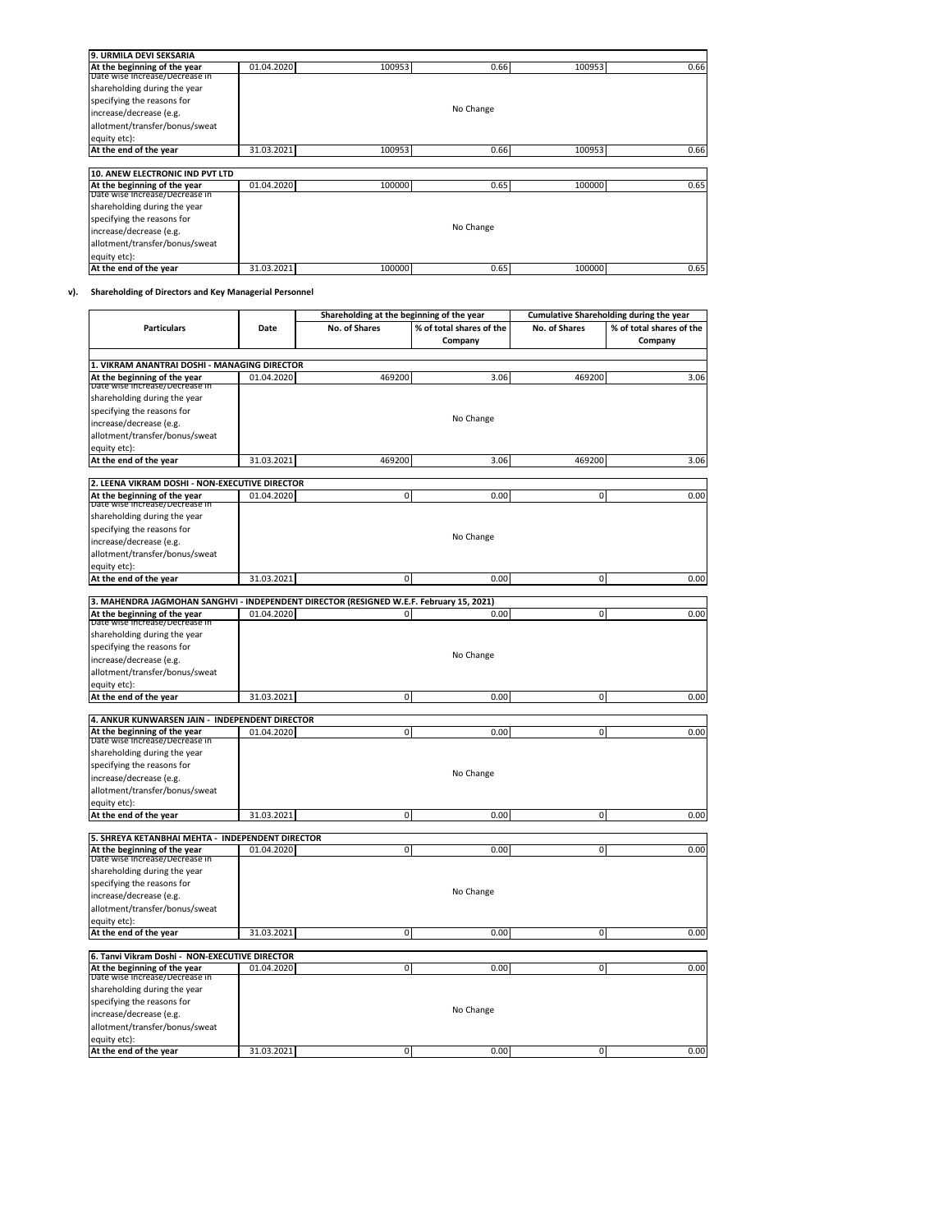| 9. URMILA DEVI SEKSARIA         |            |        |           |        |      |
|---------------------------------|------------|--------|-----------|--------|------|
| At the beginning of the year    | 01.04.2020 | 100953 | 0.66      | 100953 | 0.66 |
| Date wise increase/Decrease in  |            |        |           |        |      |
| shareholding during the year    |            |        |           |        |      |
| specifying the reasons for      |            |        |           |        |      |
| increase/decrease (e.g.         |            |        | No Change |        |      |
| allotment/transfer/bonus/sweat  |            |        |           |        |      |
| equity etc):                    |            |        |           |        |      |
| At the end of the year          | 31.03.2021 | 100953 | 0.66      | 100953 | 0.66 |
|                                 |            |        |           |        |      |
| 10. ANEW ELECTRONIC IND PVT LTD |            |        |           |        |      |
| At the beginning of the year    | 01.04.2020 | 100000 | 0.65      | 100000 | 0.65 |
| Date wise increase/Decrease in  |            |        |           |        |      |
| shareholding during the year    |            |        |           |        |      |
| specifying the reasons for      |            |        |           |        |      |
| increase/decrease (e.g.         |            |        | No Change |        |      |
| allotment/transfer/bonus/sweat  |            |        |           |        |      |
| equity etc):                    |            |        |           |        |      |
| At the end of the year          | 31.03.2021 | 100000 | 0.65      | 100000 | 0.65 |

# **v). Shareholding of Directors and Key Managerial Personnel**

|                                                                                         |            | Shareholding at the beginning of the year |                                     | <b>Cumulative Shareholding during the year</b> |                                     |
|-----------------------------------------------------------------------------------------|------------|-------------------------------------------|-------------------------------------|------------------------------------------------|-------------------------------------|
| <b>Particulars</b>                                                                      | Date       | No. of Shares                             | % of total shares of the<br>Company | No. of Shares                                  | % of total shares of the<br>Company |
| 1. VIKRAM ANANTRAI DOSHI - MANAGING DIRECTOR                                            |            |                                           |                                     |                                                |                                     |
| At the beginning of the year                                                            | 01.04.2020 | 469200                                    | 3.06                                | 469200                                         | 3.06                                |
| Date wise increase/Decrease in                                                          |            |                                           |                                     |                                                |                                     |
| shareholding during the year                                                            |            |                                           |                                     |                                                |                                     |
| specifying the reasons for                                                              |            |                                           | No Change                           |                                                |                                     |
| increase/decrease (e.g.<br>allotment/transfer/bonus/sweat                               |            |                                           |                                     |                                                |                                     |
| equity etc):                                                                            |            |                                           |                                     |                                                |                                     |
| At the end of the year                                                                  | 31.03.2021 | 469200                                    | 3.06                                | 469200                                         | 3.06                                |
| 2. LEENA VIKRAM DOSHI - NON-EXECUTIVE DIRECTOR                                          |            |                                           |                                     |                                                |                                     |
| At the beginning of the year                                                            | 01.04.2020 | 0                                         | 0.00                                | 0                                              | 0.00                                |
| Date wise Increase/Decrease in                                                          |            |                                           |                                     |                                                |                                     |
| shareholding during the year                                                            |            |                                           |                                     |                                                |                                     |
| specifying the reasons for                                                              |            |                                           | No Change                           |                                                |                                     |
| increase/decrease (e.g.                                                                 |            |                                           |                                     |                                                |                                     |
| allotment/transfer/bonus/sweat                                                          |            |                                           |                                     |                                                |                                     |
| equity etc):<br>At the end of the year                                                  | 31.03.2021 | $\mathbf 0$                               | 0.00                                | $\mathsf{O}\xspace$                            | 0.00                                |
|                                                                                         |            |                                           |                                     |                                                |                                     |
| 3. MAHENDRA JAGMOHAN SANGHVI - INDEPENDENT DIRECTOR (RESIGNED W.E.F. February 15, 2021) |            |                                           |                                     |                                                |                                     |
| At the beginning of the year                                                            | 01.04.2020 | 0                                         | 0.00                                | $\mathsf{O}\xspace$                            | 0.00                                |
| Date wise increase/Decrease in                                                          |            |                                           |                                     |                                                |                                     |
| shareholding during the year<br>specifying the reasons for                              |            |                                           |                                     |                                                |                                     |
| increase/decrease (e.g.                                                                 |            |                                           | No Change                           |                                                |                                     |
| allotment/transfer/bonus/sweat                                                          |            |                                           |                                     |                                                |                                     |
| equity etc):                                                                            |            |                                           |                                     |                                                |                                     |
| At the end of the year                                                                  | 31.03.2021 | 0                                         | 0.00                                | $\mathbf 0$                                    | 0.00                                |
|                                                                                         |            |                                           |                                     |                                                |                                     |
| 4. ANKUR KUNWARSEN JAIN - INDEPENDENT DIRECTOR<br>At the beginning of the year          | 01.04.2020 | 0                                         | 0.00                                | 0                                              | 0.00                                |
| Date wise increase/Decrease in                                                          |            |                                           |                                     |                                                |                                     |
| shareholding during the year                                                            |            |                                           |                                     |                                                |                                     |
| specifying the reasons for                                                              |            |                                           |                                     |                                                |                                     |
| increase/decrease (e.g.                                                                 |            |                                           | No Change                           |                                                |                                     |
| allotment/transfer/bonus/sweat                                                          |            |                                           |                                     |                                                |                                     |
| equity etc):                                                                            |            |                                           |                                     |                                                |                                     |
| At the end of the year                                                                  | 31.03.2021 | 0                                         | 0.00                                | O                                              | 0.00                                |
| 5. SHREYA KETANBHAI MEHTA - INDEPENDENT DIRECTOR                                        |            |                                           |                                     |                                                |                                     |
| At the beginning of the year                                                            | 01.04.2020 | 0                                         | 0.00                                | $\mathbf 0$                                    | 0.00                                |
| Date wise increase/Decrease in                                                          |            |                                           |                                     |                                                |                                     |
| shareholding during the year                                                            |            |                                           |                                     |                                                |                                     |
| specifying the reasons for                                                              |            |                                           | No Change                           |                                                |                                     |
| increase/decrease (e.g.<br>allotment/transfer/bonus/sweat                               |            |                                           |                                     |                                                |                                     |
| equity etc):                                                                            |            |                                           |                                     |                                                |                                     |
| At the end of the year                                                                  | 31.03.2021 | 0                                         | 0.00                                | $\mathsf{O}\xspace$                            | 0.00                                |
|                                                                                         |            |                                           |                                     |                                                |                                     |
| 6. Tanvi Vikram Doshi - NON-EXECUTIVE DIRECTOR                                          |            |                                           |                                     |                                                |                                     |
| At the beginning of the year<br>Date wise increase/Decrease in                          | 01.04.2020 | 0                                         | 0.00                                | 0                                              | 0.00                                |
| shareholding during the year                                                            |            |                                           |                                     |                                                |                                     |
| specifying the reasons for                                                              |            |                                           |                                     |                                                |                                     |
| increase/decrease (e.g.                                                                 |            |                                           | No Change                           |                                                |                                     |
| allotment/transfer/bonus/sweat                                                          |            |                                           |                                     |                                                |                                     |
| equity etc):                                                                            |            |                                           |                                     |                                                |                                     |
| At the end of the year                                                                  | 31.03.2021 | $\mathbf 0$                               | 0.00                                | $\mathbf 0$                                    | 0.00                                |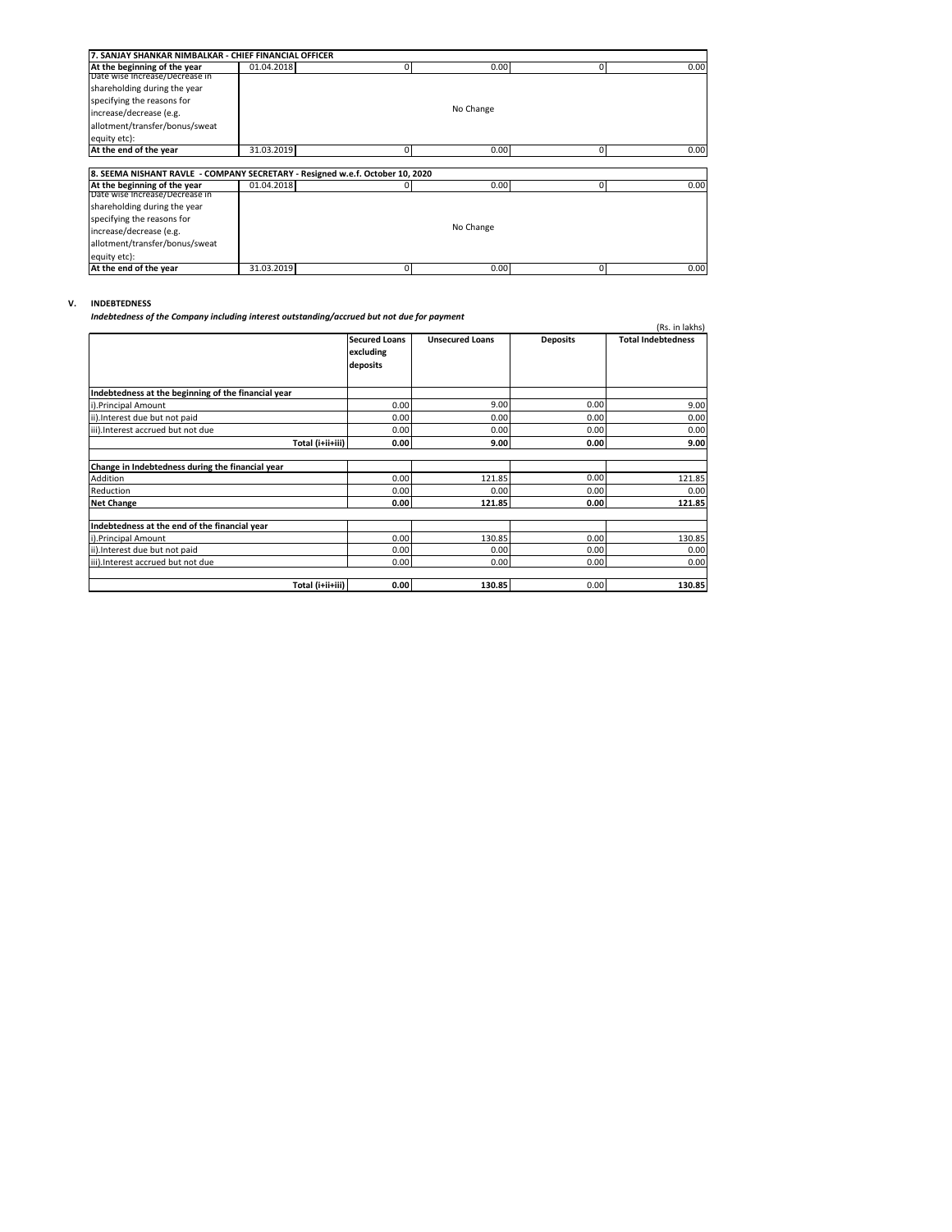| 7. SANJAY SHANKAR NIMBALKAR - CHIEF FINANCIAL OFFICER                         |            |   |           |             |      |  |  |
|-------------------------------------------------------------------------------|------------|---|-----------|-------------|------|--|--|
| At the beginning of the year                                                  | 01.04.2018 | 0 | 0.00      | 0           | 0.00 |  |  |
| Date wise increase/Decrease in                                                |            |   |           |             |      |  |  |
| shareholding during the year                                                  |            |   |           |             |      |  |  |
| specifying the reasons for                                                    |            |   |           |             |      |  |  |
| increase/decrease (e.g.                                                       |            |   | No Change |             |      |  |  |
| allotment/transfer/bonus/sweat                                                |            |   |           |             |      |  |  |
| equity etc):                                                                  |            |   |           |             |      |  |  |
| At the end of the year                                                        | 31.03.2019 | 0 | 0.00      | $\mathbf 0$ | 0.00 |  |  |
|                                                                               |            |   |           |             |      |  |  |
| 8. SEEMA NISHANT RAVLE - COMPANY SECRETARY - Resigned w.e.f. October 10, 2020 |            |   |           |             |      |  |  |
| At the beginning of the year                                                  | 01.04.2018 |   | 0.00      | 0           | 0.00 |  |  |
| Date wise increase/Decrease in                                                |            |   |           |             |      |  |  |
| shareholding during the year                                                  |            |   |           |             |      |  |  |
| specifying the reasons for                                                    |            |   |           |             |      |  |  |
| increase/decrease (e.g.                                                       |            |   | No Change |             |      |  |  |
| allotment/transfer/bonus/sweat                                                |            |   |           |             |      |  |  |
| equity etc):                                                                  |            |   |           |             |      |  |  |
| At the end of the year                                                        | 31.03.2019 | 0 | 0.00      | 0           | 0.00 |  |  |

# **V. INDEBTEDNESS**

*Indebtedness of the Company including interest outstanding/accrued but not due for payment*

| maebleaness of the Company including interest outstanding/accrued but not due for payment |                                               |                        |                   | (Rs. in lakhs)            |
|-------------------------------------------------------------------------------------------|-----------------------------------------------|------------------------|-------------------|---------------------------|
|                                                                                           | <b>Secured Loans</b><br>excluding<br>deposits | <b>Unsecured Loans</b> | <b>Deposits</b>   | <b>Total Indebtedness</b> |
| Indebtedness at the beginning of the financial year                                       |                                               |                        |                   |                           |
| i).Principal Amount                                                                       | 0.00                                          | 9.00                   | 0.00              | 9.00                      |
| ii). Interest due but not paid                                                            | 0.00                                          | 0.00                   | 0.00              | 0.00                      |
| iii). Interest accrued but not due                                                        | 0.00                                          | 0.00                   | 0.00              | 0.00                      |
| Total (i+ii+iii)                                                                          | 0.00                                          | 9.00                   | 0.00 <sub>l</sub> | 9.00                      |
| Change in Indebtedness during the financial year                                          |                                               |                        |                   |                           |
| Addition                                                                                  | 0.00                                          | 121.85                 | 0.00              | 121.85                    |
| Reduction                                                                                 | 0.00                                          | 0.00                   | 0.00              | 0.00                      |
| <b>Net Change</b>                                                                         | 0.00                                          | 121.85                 | 0.00              | 121.85                    |
| Indebtedness at the end of the financial year                                             |                                               |                        |                   |                           |
| i).Principal Amount                                                                       | 0.00                                          | 130.85                 | 0.00              | 130.85                    |
| ii). Interest due but not paid                                                            | 0.00                                          | 0.00                   | 0.00              | 0.00                      |
| iii).Interest accrued but not due                                                         | 0.00                                          | 0.00                   | 0.00              | 0.00                      |
| Total (i+ii+iii)                                                                          | 0.00                                          | 130.85                 | 0.00              | 130.85                    |